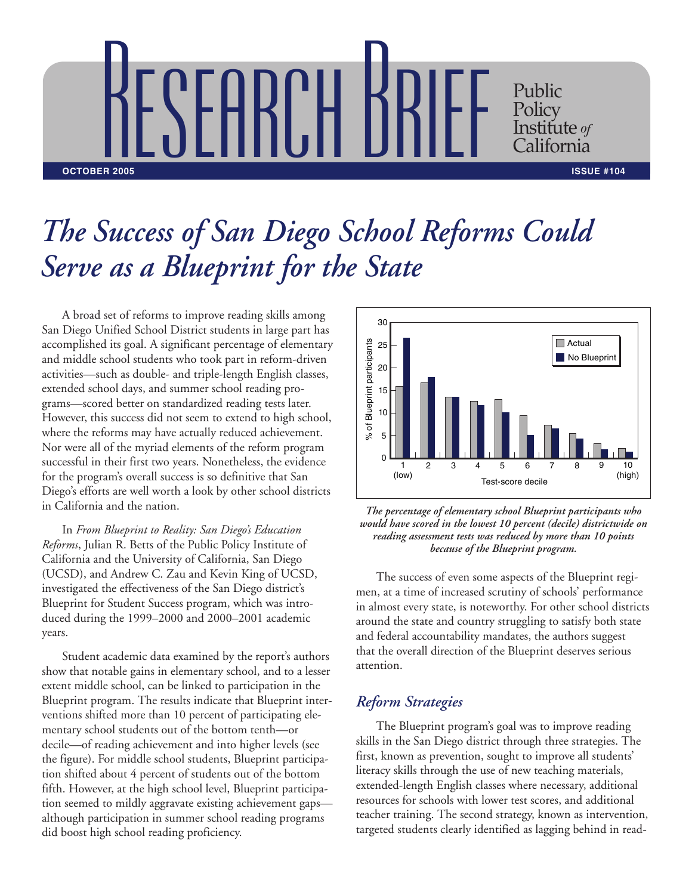

## *The Success of San Diego School Reforms Could Serve as a Blueprint for the State*

A broad set of reforms to improve reading skills among San Diego Unified School District students in large part has accomplished its goal. A significant percentage of elementary and middle school students who took part in reform-driven activities—such as double- and triple-length English classes, extended school days, and summer school reading programs—scored better on standardized reading tests later. However, this success did not seem to extend to high school, where the reforms may have actually reduced achievement. Nor were all of the myriad elements of the reform program successful in their first two years. Nonetheless, the evidence for the program's overall success is so definitive that San Diego's efforts are well worth a look by other school districts in California and the nation.

In *From Blueprint to Reality: San Diego's Education Reforms*, Julian R. Betts of the Public Policy Institute of California and the University of California, San Diego (UCSD), and Andrew C. Zau and Kevin King of UCSD, investigated the effectiveness of the San Diego district's Blueprint for Student Success program, which was introduced during the 1999–2000 and 2000–2001 academic years.

Student academic data examined by the report's authors show that notable gains in elementary school, and to a lesser extent middle school, can be linked to participation in the Blueprint program. The results indicate that Blueprint interventions shifted more than 10 percent of participating elementary school students out of the bottom tenth—or decile—of reading achievement and into higher levels (see the figure). For middle school students, Blueprint participation shifted about 4 percent of students out of the bottom fifth. However, at the high school level, Blueprint participation seemed to mildly aggravate existing achievement gaps although participation in summer school reading programs did boost high school reading proficiency.



*The percentage of elementary school Blueprint participants who would have scored in the lowest 10 percent (decile) districtwide on reading assessment tests was reduced by more than 10 points because of the Blueprint program.*

The success of even some aspects of the Blueprint regimen, at a time of increased scrutiny of schools' performance in almost every state, is noteworthy. For other school districts around the state and country struggling to satisfy both state and federal accountability mandates, the authors suggest that the overall direction of the Blueprint deserves serious attention.

## *Reform Strategies*

The Blueprint program's goal was to improve reading skills in the San Diego district through three strategies. The first, known as prevention, sought to improve all students' literacy skills through the use of new teaching materials, extended-length English classes where necessary, additional resources for schools with lower test scores, and additional teacher training. The second strategy, known as intervention, targeted students clearly identified as lagging behind in read